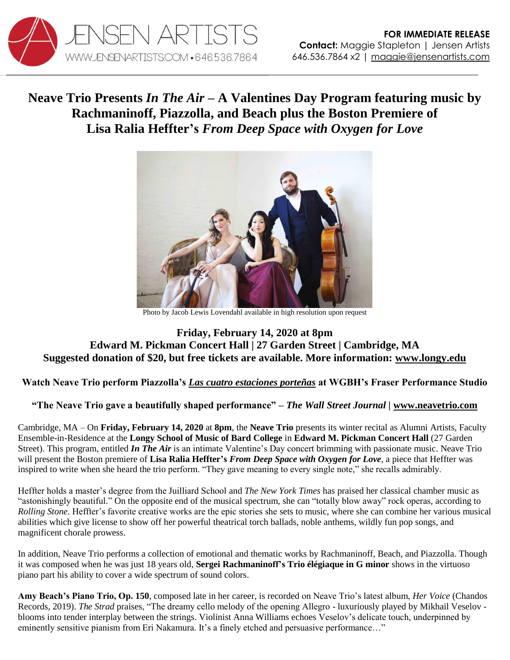

## **Neave Trio Presents** *In The Air –* **A Valentines Day Program featuring music by Rachmaninoff, Piazzolla, and Beach plus the Boston Premiere of Lisa Ralia Heffter's** *From Deep Space with Oxygen for Love*



Photo by Jacob Lewis Lovendahl available in high resolution upon request

## **Friday, February 14, 2020 at 8pm Edward M. Pickman Concert Hall | 27 Garden Street | Cambridge, MA Suggested donation of \$20, but free tickets are available. More information: [www.longy.edu](https://longy.edu/event/2-14-20-neave-trio-in-the-air-longys-alumni-artists-faculty-ensemble-in-residence/)**

## **Watch Neave Trio perform Piazzolla's** *[Las cuatro estaciones porteñas](https://youtu.be/Xs3a6h4OV-E)* **at WGBH's Fraser Performance Studio**

## **"The Neave Trio gave a beautifully shaped performance"** *– The Wall Street Journal |* **[www.neavetrio.com](http://www.neavetrio.com/)**

Cambridge, MA – On **Friday, February 14, 2020** at **8pm**, the **Neave Trio** presents its winter recital as Alumni Artists, Faculty Ensemble-in-Residence at the **Longy School of Music of Bard College** in **Edward M. Pickman Concert Hall** (27 Garden Street). This program, entitled *In The Air* is an intimate Valentine's Day concert brimming with passionate music. Neave Trio will present the Boston premiere of **Lisa Ralia Heffter's** *From Deep Space with Oxygen for Love*, a piece that Heffter was inspired to write when she heard the trio perform. "They gave meaning to every single note," she recalls admirably.

Heffter holds a master's degree from the Juilliard School and *The New York Times* has praised her classical chamber music as "astonishingly beautiful." On the opposite end of the musical spectrum, she can "totally blow away" rock operas, according to *Rolling Stone*. Heffter's favorite creative works are the epic stories she sets to music, where she can combine her various musical abilities which give license to show off her powerful theatrical torch ballads, noble anthems, wildly fun pop songs, and magnificent chorale prowess.

In addition, Neave Trio performs a collection of emotional and thematic works by Rachmaninoff, Beach, and Piazzolla. Though it was composed when he was just 18 years old, **Sergei Rachmaninoff's Trio élégiaque in G minor** shows in the virtuoso piano part his ability to cover a wide spectrum of sound colors.

**Amy Beach's Piano Trio, Op. 150**, composed late in her career, is recorded on Neave Trio's latest album, *Her Voice* (Chandos Records, 2019). *The Strad* praises, "The dreamy cello melody of the opening Allegro - luxuriously played by Mikhail Veselov blooms into tender interplay between the strings. Violinist Anna Williams echoes Veselov's delicate touch, underpinned by eminently sensitive pianism from Eri Nakamura. It's a finely etched and persuasive performance..."